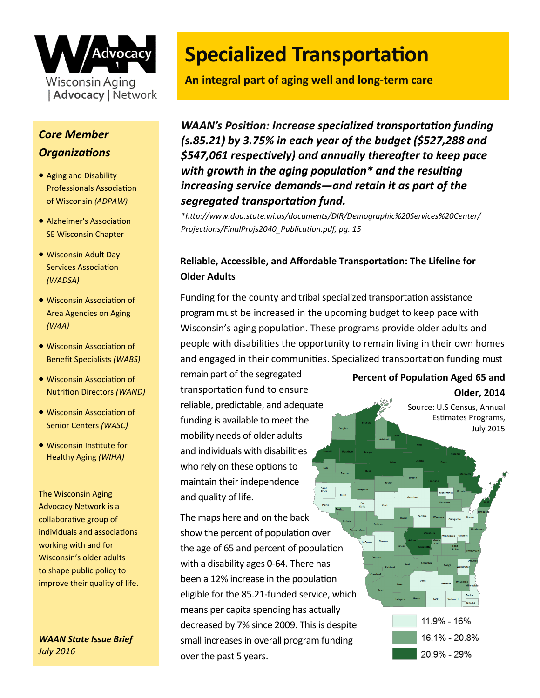

## *Core Member Organizations*

- Aging and Disability Professionals Association of Wisconsin *(ADPAW)*
- Alzheimer's Association SE Wisconsin Chapter
- Wisconsin Adult Day Services Association *(WADSA)*
- Wisconsin Association of Area Agencies on Aging *(W4A)*
- Wisconsin Association of Benefit Specialists *(WABS)*
- Wisconsin Association of Nutrition Directors *(WAND)*
- Wisconsin Association of Senior Centers *(WASC)*
- Wisconsin Institute for Healthy Aging *(WIHA)*

The Wisconsin Aging Advocacy Network is a collaborative group of individuals and associations working with and for Wisconsin's older adults to shape public policy to improve their quality of life.

*WAAN State Issue Brief July 2016* 

# **Specialized Transportation**

**An integral part of aging well and long-term care**

*WAAN's Position: Increase specialized transportation funding (s.85.21) by 3.75% in each year of the budget (\$527,288 and \$547,061 respectively) and annually thereafter to keep pace with growth in the aging population\* and the resulting increasing service demands—and retain it as part of the segregated transportation fund.*

*\*http://www.doa.state.wi.us/documents/DIR/Demographic%20Services%20Center/ Projections/FinalProjs2040\_Publication.pdf, pg. 15*

## **Reliable, Accessible, and Affordable Transportation: The Lifeline for Older Adults**

Saint<br>Croix

Funding for the county and tribal specialized transportation assistance program must be increased in the upcoming budget to keep pace with Wisconsin's aging population. These programs provide older adults and people with disabilities the opportunity to remain living in their own homes and engaged in their communities. Specialized transportation funding must

remain part of the segregated transportation fund to ensure reliable, predictable, and adequate funding is available to meet the mobility needs of older adults and individuals with disabilities who rely on these options to maintain their independence and quality of life.

The maps here and on the back show the percent of population over the age of 65 and percent of population with a disability ages 0-64. There has been a 12% increase in the population eligible for the 85.21-funded service, which means per capita spending has actually decreased by 7% since 2009. This is despite small increases in overall program funding over the past 5 years.

#### **Percent of Population Aged 65 and**

**Older, 2014** Source: U.S Census, Annual

Estimates Programs, July 2015

11.9% - 16% 16.1% - 20.8% 20.9% - 29%